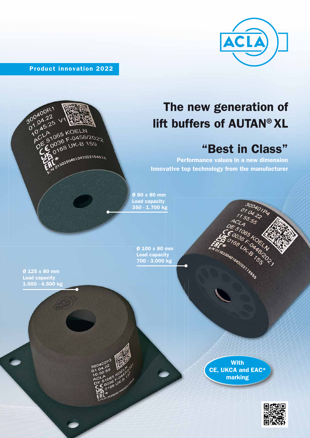

Product innovation 2022



# The new generation of lift buffers of AUTAN® XL

## "Best in Class"

300401P4

**FOR** 

 $\sigma$ 

T \* 198 UK B 14

ARIAN

Performance values in a new dimension Innovative top technology from the manufacturer

Ø 80 x 80 mm Load capacity 350 - 1.700 kg

> Ø 100 x 80 mm Ø Load capacity 700 - 3.000 kg

Ø 125 x 80 mm Load capacity 1.000 - 4.500 kg

> **With** CE, UKCA and EAC\* marking